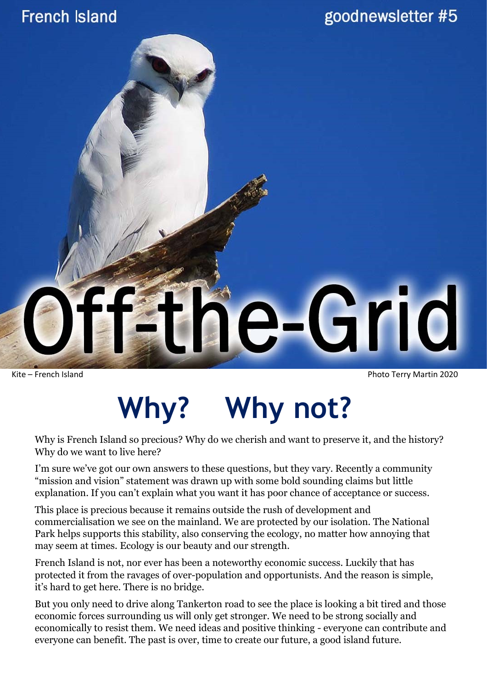#### **French Island**



Kite – French Island Photo Terry Martin 2020

## **Why? Why not?**

Why is French Island so precious? Why do we cherish and want to preserve it, and the history? Why do we want to live here?

I'm sure we've got our own answers to these questions, but they vary. Recently a community "mission and vision" statement was drawn up with some bold sounding claims but little explanation. If you can't explain what you want it has poor chance of acceptance or success.

This place is precious because it remains outside the rush of development and commercialisation we see on the mainland. We are protected by our isolation. The National Park helps supports this stability, also conserving the ecology, no matter how annoying that may seem at times. Ecology is our beauty and our strength.

French Island is not, nor ever has been a noteworthy economic success. Luckily that has protected it from the ravages of over-population and opportunists. And the reason is simple, it's hard to get here. There is no bridge.

But you only need to drive along Tankerton road to see the place is looking a bit tired and those economic forces surrounding us will only get stronger. We need to be strong socially and economically to resist them. We need ideas and positive thinking - everyone can contribute and everyone can benefit. The past is over, time to create our future, a good island future.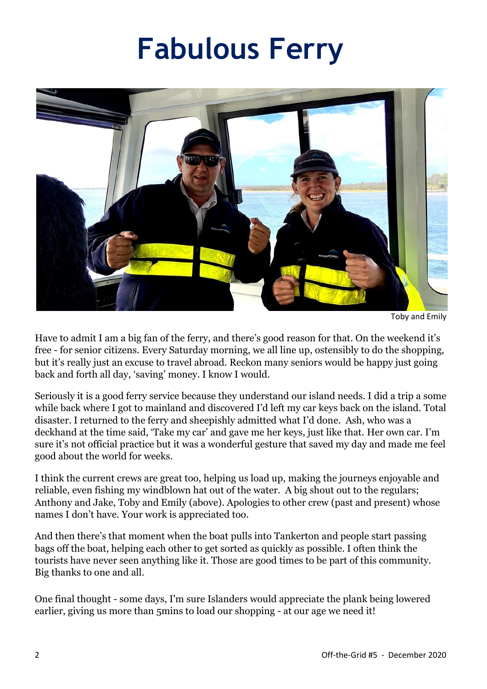### **Fabulous Ferry**



Toby and Emily

Have to admit I am a big fan of the ferry, and there's good reason for that. On the weekend it's free - for senior citizens. Every Saturday morning, we all line up, ostensibly to do the shopping, but it's really just an excuse to travel abroad. Reckon many seniors would be happy just going back and forth all day, 'saving' money. I know I would.

Seriously it is a good ferry service because they understand our island needs. I did a trip a some while back where I got to mainland and discovered I'd left my car keys back on the island. Total disaster. I returned to the ferry and sheepishly admitted what I'd done. Ash, who was a deckhand at the time said, 'Take my car' and gave me her keys, just like that. Her own car. I'm sure it's not official practice but it was a wonderful gesture that saved my day and made me feel good about the world for weeks.

I think the current crews are great too, helping us load up, making the journeys enjoyable and reliable, even fishing my windblown hat out of the water. A big shout out to the regulars; Anthony and Jake, Toby and Emily (above). Apologies to other crew (past and present) whose names I don't have. Your work is appreciated too.

And then there's that moment when the boat pulls into Tankerton and people start passing bags off the boat, helping each other to get sorted as quickly as possible. I often think the tourists have never seen anything like it. Those are good times to be part of this community. Big thanks to one and all.

One final thought - some days, I'm sure Islanders would appreciate the plank being lowered earlier, giving us more than 5mins to load our shopping - at our age we need it!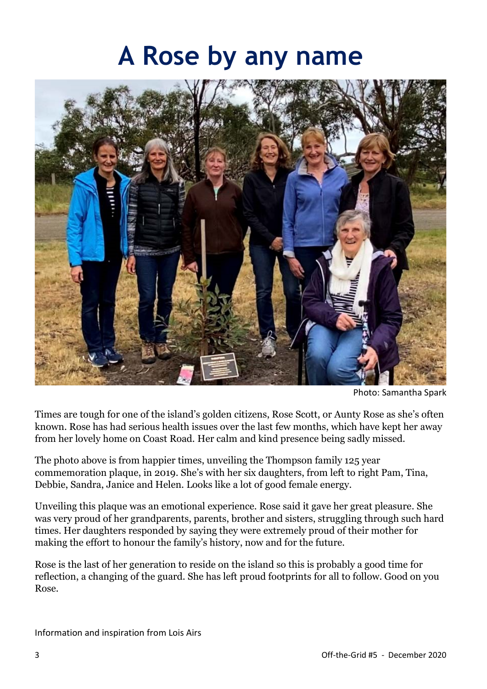#### **A Rose by any name**



Photo: Samantha Spark

Times are tough for one of the island's golden citizens, Rose Scott, or Aunty Rose as she's often known. Rose has had serious health issues over the last few months, which have kept her away from her lovely home on Coast Road. Her calm and kind presence being sadly missed.

The photo above is from happier times, unveiling the Thompson family 125 year commemoration plaque, in 2019. She's with her six daughters, from left to right Pam, Tina, Debbie, Sandra, Janice and Helen. Looks like a lot of good female energy.

Unveiling this plaque was an emotional experience. Rose said it gave her great pleasure. She was very proud of her grandparents, parents, brother and sisters, struggling through such hard times. Her daughters responded by saying they were extremely proud of their mother for making the effort to honour the family's history, now and for the future.

Rose is the last of her generation to reside on the island so this is probably a good time for reflection, a changing of the guard. She has left proud footprints for all to follow. Good on you Rose.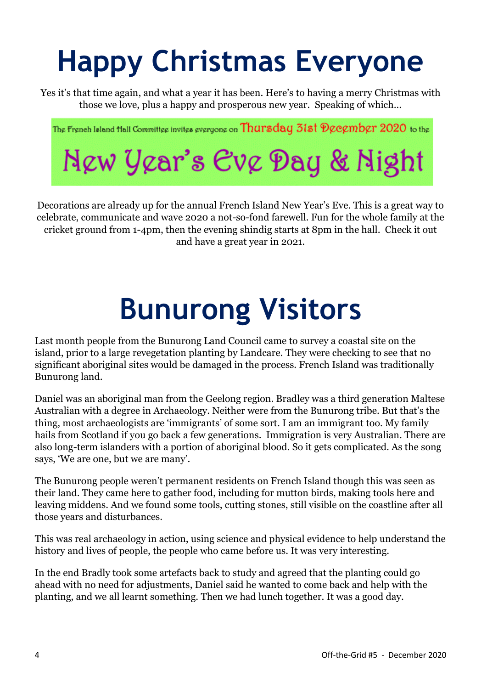# **Happy Christmas Everyone**

Yes it's that time again, and what a year it has been. Here's to having a merry Christmas with those we love, plus a happy and prosperous new year. Speaking of which…

The French Island Hall Committee invites everyone on Thursday 31st December 2020 to the New Year's Eve Day & Night

Decorations are already up for the annual French Island New Year's Eve. This is a great way to celebrate, communicate and wave 2020 a not-so-fond farewell. Fun for the whole family at the cricket ground from 1-4pm, then the evening shindig starts at 8pm in the hall. Check it out and have a great year in 2021.

## **Bunurong Visitors**

Last month people from the Bunurong Land Council came to survey a coastal site on the island, prior to a large revegetation planting by Landcare. They were checking to see that no significant aboriginal sites would be damaged in the process. French Island was traditionally Bunurong land.

Daniel was an aboriginal man from the Geelong region. Bradley was a third generation Maltese Australian with a degree in Archaeology. Neither were from the Bunurong tribe. But that's the thing, most archaeologists are 'immigrants' of some sort. I am an immigrant too. My family hails from Scotland if you go back a few generations. Immigration is very Australian. There are also long-term islanders with a portion of aboriginal blood. So it gets complicated. As the song says, 'We are one, but we are many'.

The Bunurong people weren't permanent residents on French Island though this was seen as their land. They came here to gather food, including for mutton birds, making tools here and leaving middens. And we found some tools, cutting stones, still visible on the coastline after all those years and disturbances.

This was real archaeology in action, using science and physical evidence to help understand the history and lives of people, the people who came before us. It was very interesting.

In the end Bradly took some artefacts back to study and agreed that the planting could go ahead with no need for adjustments, Daniel said he wanted to come back and help with the planting, and we all learnt something. Then we had lunch together. It was a good day.